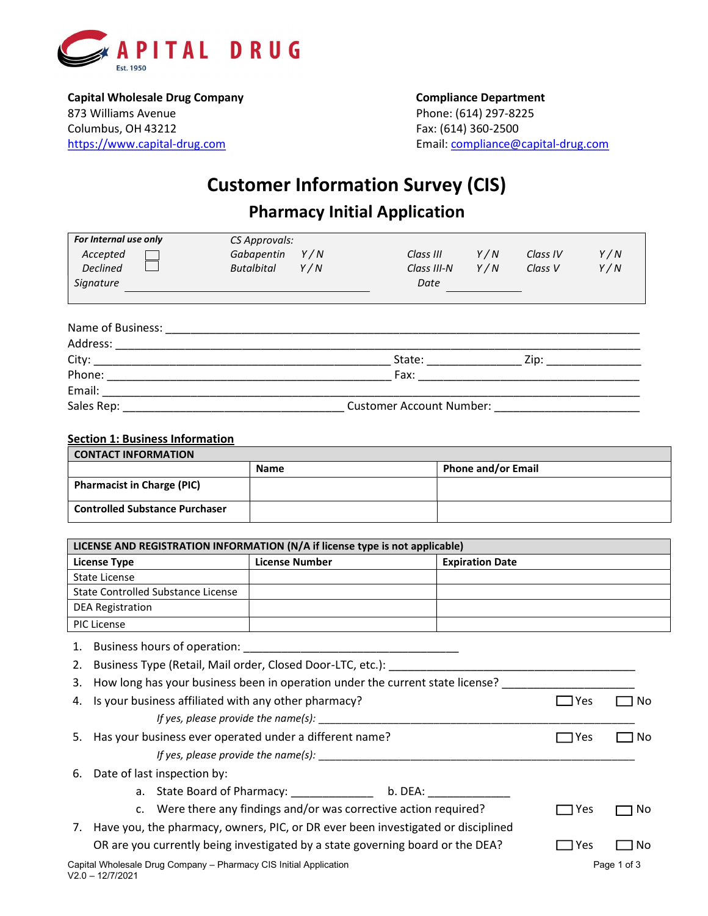

Capital Wholesale Drug Company Company Compliance Department 873 Williams Avenue **Phone: (614) 297-8225** Columbus, OH 43212 Fax: (614) 360-2500 https://www.capital-drug.com Email: compliance@capital-drug.com

# Customer Information Survey (CIS) Pharmacy Initial Application

| For Internal use only                  | CS Approvals:     |                                 |     |          |     |
|----------------------------------------|-------------------|---------------------------------|-----|----------|-----|
| Accepted                               | Gabapentin<br>Y/N | Class III                       | Y/N | Class IV | Y/N |
| <b>Declined</b>                        | Butalbital<br>Y/N | Class III-N                     | Y/N | Class V  | Y/N |
| Signature                              |                   | Date                            |     |          |     |
| Name of Business:<br>Address: No. 1994 |                   |                                 |     |          |     |
|                                        |                   | State: __________               |     |          |     |
| Phone: ______________                  |                   | Fax:                            |     |          |     |
| Email:                                 |                   |                                 |     |          |     |
| Sales Rep:                             |                   | <b>Customer Account Number:</b> |     |          |     |

# Section 1: Business Information

| CONTACT INFORMATION                   |             |                           |  |  |
|---------------------------------------|-------------|---------------------------|--|--|
|                                       | <b>Name</b> | <b>Phone and/or Email</b> |  |  |
| <b>Pharmacist in Charge (PIC)</b>     |             |                           |  |  |
| <b>Controlled Substance Purchaser</b> |             |                           |  |  |

| LICENSE AND REGISTRATION INFORMATION (N/A if license type is not applicable) |                       |                        |  |  |
|------------------------------------------------------------------------------|-----------------------|------------------------|--|--|
| License Type                                                                 | <b>License Number</b> | <b>Expiration Date</b> |  |  |
| State License                                                                |                       |                        |  |  |
| State Controlled Substance License                                           |                       |                        |  |  |
| DEA Registration                                                             |                       |                        |  |  |
| PIC License                                                                  |                       |                        |  |  |

1. Business hours of operation: \_\_\_\_\_\_\_\_\_\_\_\_\_\_\_\_\_\_\_\_\_\_\_\_\_\_\_\_\_\_\_\_\_\_

2. Business Type (Retail, Mail order, Closed Door-LTC, etc.): \_\_\_\_\_\_\_\_\_\_\_\_\_\_\_\_\_\_\_\_\_\_\_\_\_\_\_\_\_\_\_\_\_\_\_\_\_\_\_

|    | 3. How long has your business been in operation under the current state license? |            |             |
|----|----------------------------------------------------------------------------------|------------|-------------|
|    | 4. Is your business affiliated with any other pharmacy?                          | Yes        | No.         |
|    | If yes, please provide the name(s):                                              |            |             |
|    | 5. Has your business ever operated under a different name?                       | Yes        | ΝO          |
|    | If yes, please provide the name(s):                                              |            |             |
| 6. | Date of last inspection by:                                                      |            |             |
|    | b. DEA:                                                                          |            |             |
|    | c. Were there any findings and/or was corrective action required?                | l Yes      | No.         |
| 7. | Have you, the pharmacy, owners, PIC, or DR ever been investigated or disciplined |            |             |
|    | OR are you currently being investigated by a state governing board or the DEA?   | <b>Yes</b> | No          |
|    | Capital Wholesale Drug Company - Pharmacy CIS Initial Application                |            | Page 1 of 3 |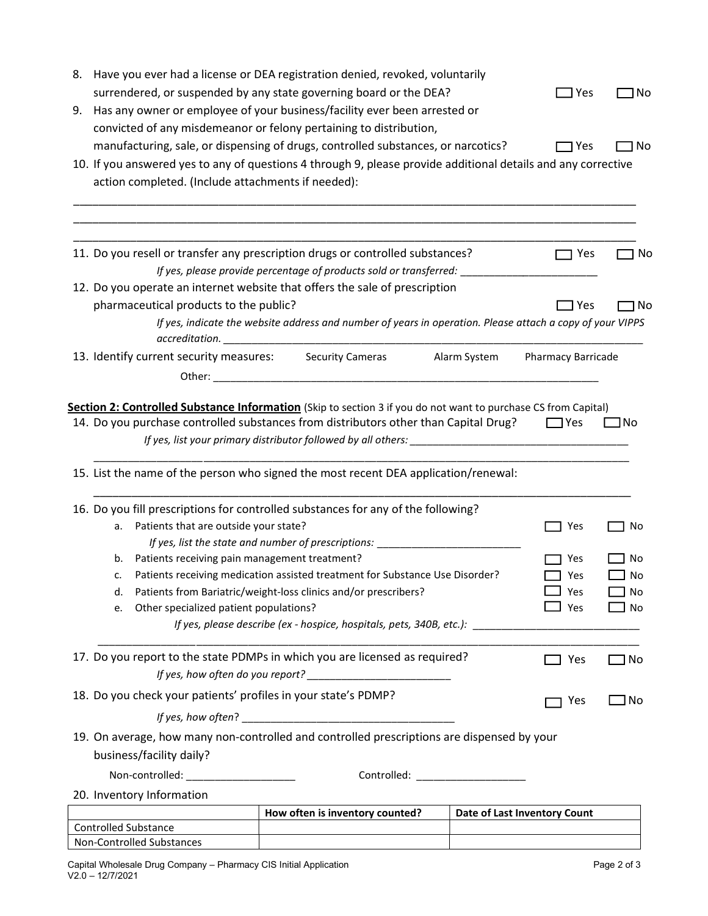| 8. |                                                                | Have you ever had a license or DEA registration denied, revoked, voluntarily                                                                                                                                                   |                                           |           |
|----|----------------------------------------------------------------|--------------------------------------------------------------------------------------------------------------------------------------------------------------------------------------------------------------------------------|-------------------------------------------|-----------|
|    |                                                                | surrendered, or suspended by any state governing board or the DEA?                                                                                                                                                             | l Yes                                     | No        |
| 9. |                                                                | Has any owner or employee of your business/facility ever been arrested or                                                                                                                                                      |                                           |           |
|    |                                                                | convicted of any misdemeanor or felony pertaining to distribution,                                                                                                                                                             |                                           |           |
|    |                                                                | manufacturing, sale, or dispensing of drugs, controlled substances, or narcotics?                                                                                                                                              | $\Box$ Yes                                | ] No      |
|    |                                                                | 10. If you answered yes to any of questions 4 through 9, please provide additional details and any corrective                                                                                                                  |                                           |           |
|    | action completed. (Include attachments if needed):             |                                                                                                                                                                                                                                |                                           |           |
|    |                                                                |                                                                                                                                                                                                                                |                                           |           |
|    |                                                                |                                                                                                                                                                                                                                |                                           |           |
|    |                                                                |                                                                                                                                                                                                                                |                                           |           |
|    |                                                                | 11. Do you resell or transfer any prescription drugs or controlled substances?                                                                                                                                                 | Yes                                       | No        |
|    |                                                                | If yes, please provide percentage of products sold or transferred: _                                                                                                                                                           |                                           |           |
|    |                                                                | 12. Do you operate an internet website that offers the sale of prescription                                                                                                                                                    |                                           |           |
|    | pharmaceutical products to the public?                         |                                                                                                                                                                                                                                | ∃ Yes                                     | 1 No      |
|    |                                                                | If yes, indicate the website address and number of years in operation. Please attach a copy of your VIPPS<br>$\,arcreditation. \underline{\hspace{2cm}}$                                                                       |                                           |           |
|    | 13. Identify current security measures:                        | <b>Security Cameras</b>                                                                                                                                                                                                        | Alarm System<br><b>Pharmacy Barricade</b> |           |
|    |                                                                | Other: when the contract of the contract of the contract of the contract of the contract of the contract of the contract of the contract of the contract of the contract of the contract of the contract of the contract of th |                                           |           |
|    |                                                                |                                                                                                                                                                                                                                |                                           |           |
|    |                                                                | Section 2: Controlled Substance Information (Skip to section 3 if you do not want to purchase CS from Capital)                                                                                                                 |                                           |           |
|    |                                                                | 14. Do you purchase controlled substances from distributors other than Capital Drug?                                                                                                                                           | $\Box$ Yes                                | $\Box$ No |
|    |                                                                |                                                                                                                                                                                                                                |                                           |           |
|    |                                                                |                                                                                                                                                                                                                                |                                           |           |
|    |                                                                | 15. List the name of the person who signed the most recent DEA application/renewal:                                                                                                                                            |                                           |           |
|    |                                                                |                                                                                                                                                                                                                                |                                           |           |
|    |                                                                | 16. Do you fill prescriptions for controlled substances for any of the following?                                                                                                                                              |                                           |           |
|    | Patients that are outside your state?<br>a.                    |                                                                                                                                                                                                                                | Yes                                       | No        |
|    |                                                                | If yes, list the state and number of prescriptions: _______________                                                                                                                                                            |                                           |           |
|    | Patients receiving pain management treatment?<br>b.            |                                                                                                                                                                                                                                | Yes                                       | No        |
|    | c.                                                             | Patients receiving medication assisted treatment for Substance Use Disorder?                                                                                                                                                   | Yes                                       | No        |
|    | d.                                                             | Patients from Bariatric/weight-loss clinics and/or prescribers?                                                                                                                                                                | ⊿ Yes                                     | No        |
|    | Other specialized patient populations?<br>e.                   |                                                                                                                                                                                                                                | Yes                                       | No        |
|    |                                                                | If yes, please describe (ex - hospice, hospitals, pets, 340B, etc.): _______________________________                                                                                                                           |                                           |           |
|    |                                                                | 17. Do you report to the state PDMPs in which you are licensed as required?                                                                                                                                                    |                                           |           |
|    |                                                                |                                                                                                                                                                                                                                | ] Yes                                     | ] No      |
|    |                                                                |                                                                                                                                                                                                                                |                                           |           |
|    | 18. Do you check your patients' profiles in your state's PDMP? |                                                                                                                                                                                                                                | Yes                                       | ] No      |
|    |                                                                |                                                                                                                                                                                                                                |                                           |           |
|    |                                                                | 19. On average, how many non-controlled and controlled prescriptions are dispensed by your                                                                                                                                     |                                           |           |
|    | business/facility daily?                                       |                                                                                                                                                                                                                                |                                           |           |
|    | Non-controlled: _____________________                          |                                                                                                                                                                                                                                |                                           |           |
|    | 20. Inventory Information                                      |                                                                                                                                                                                                                                |                                           |           |
|    |                                                                | How often is inventory counted?                                                                                                                                                                                                | Date of Last Inventory Count              |           |
|    | <b>Controlled Substance</b>                                    |                                                                                                                                                                                                                                |                                           |           |
|    | Non-Controlled Substances                                      |                                                                                                                                                                                                                                |                                           |           |